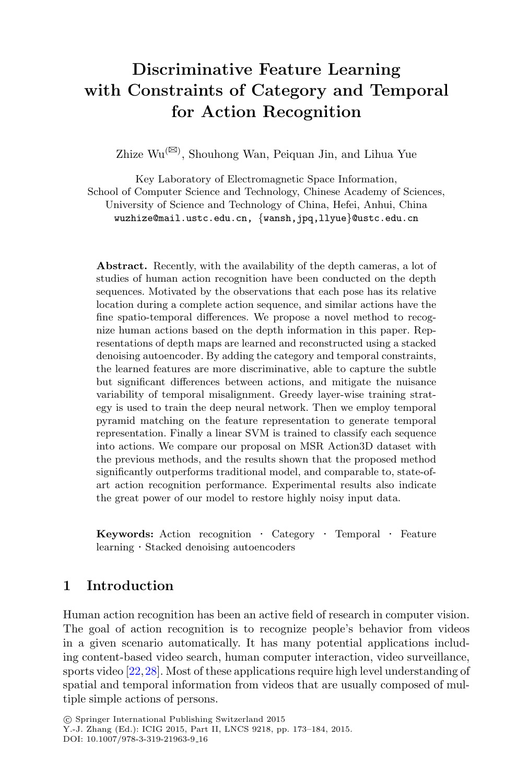# **Discriminative Feature Learning with Constraints of Category and Temporal for Action Recognition**

Zhize  $\text{Wu}^{(\boxtimes)}$ , Shouhong Wan, Peiquan Jin, and Lihua Yue

Key Laboratory of Electromagnetic Space Information, School of Computer Science and Technology, Chinese Academy of Sciences, University of Science and Technology of China, Hefei, Anhui, China wuzhize@mail.ustc.edu.cn, {wansh,jpq,llyue}@ustc.edu.cn

**Abstract.** Recently, with the availability of the depth cameras, a lot of studies of human action recognition have been conducted on the depth sequences. Motivated by the observations that each pose has its relative location during a complete action sequence, and similar actions have the fine spatio-temporal differences. We propose a novel method to recognize human actions based on the depth information in this paper. Representations of depth maps are learned and reconstructed using a stacked denoising autoencoder. By adding the category and temporal constraints, the learned features are more discriminative, able to capture the subtle but significant differences between actions, and mitigate the nuisance variability of temporal misalignment. Greedy layer-wise training strategy is used to train the deep neural network. Then we employ temporal pyramid matching on the feature representation to generate temporal representation. Finally a linear SVM is trained to classify each sequence into actions. We compare our proposal on MSR Action3D dataset with the previous methods, and the results shown that the proposed method significantly outperforms traditional model, and comparable to, state-ofart action recognition performance. Experimental results also indicate the great power of our model to restore highly noisy input data.

**Keywords:** Action recognition · Category · Temporal · Feature learning · Stacked denoising autoencoders

### **1 Introduction**

Human action recognition has been an active field of research in computer vision. The goal of action recognition is to recognize people's behavior from videos in a given scenario automatically. It has many potential applications including content-based video search, human computer interaction, video surveillance, sports video [\[22](#page-11-0)[,28](#page-11-1)]. Most of these applications require high level understanding of spatial and temporal information from videos that are usually composed of multiple simple actions of persons.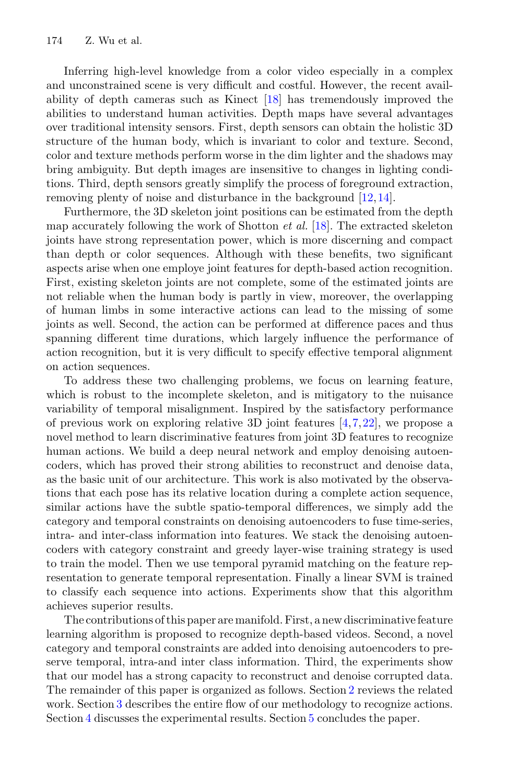Inferring high-level knowledge from a color video especially in a complex and unconstrained scene is very difficult and costful. However, the recent availability of depth cameras such as Kinect [\[18\]](#page-10-0) has tremendously improved the abilities to understand human activities. Depth maps have several advantages over traditional intensity sensors. First, depth sensors can obtain the holistic 3D structure of the human body, which is invariant to color and texture. Second, color and texture methods perform worse in the dim lighter and the shadows may bring ambiguity. But depth images are insensitive to changes in lighting conditions. Third, depth sensors greatly simplify the process of foreground extraction, removing plenty of noise and disturbance in the background [\[12](#page-10-1)[,14](#page-10-2)].

Furthermore, the 3D skeleton joint positions can be estimated from the depth map accurately following the work of Shotton *et al.* [\[18\]](#page-10-0). The extracted skeleton joints have strong representation power, which is more discerning and compact than depth or color sequences. Although with these benefits, two significant aspects arise when one employe joint features for depth-based action recognition. First, existing skeleton joints are not complete, some of the estimated joints are not reliable when the human body is partly in view, moreover, the overlapping of human limbs in some interactive actions can lead to the missing of some joints as well. Second, the action can be performed at difference paces and thus spanning different time durations, which largely influence the performance of action recognition, but it is very difficult to specify effective temporal alignment on action sequences.

To address these two challenging problems, we focus on learning feature, which is robust to the incomplete skeleton, and is mitigatory to the nuisance variability of temporal misalignment. Inspired by the satisfactory performance of previous work on exploring relative 3D joint features  $[4,7,22]$  $[4,7,22]$  $[4,7,22]$  $[4,7,22]$ , we propose a novel method to learn discriminative features from joint 3D features to recognize human actions. We build a deep neural network and employ denoising autoencoders, which has proved their strong abilities to reconstruct and denoise data, as the basic unit of our architecture. This work is also motivated by the observations that each pose has its relative location during a complete action sequence, similar actions have the subtle spatio-temporal differences, we simply add the category and temporal constraints on denoising autoencoders to fuse time-series, intra- and inter-class information into features. We stack the denoising autoencoders with category constraint and greedy layer-wise training strategy is used to train the model. Then we use temporal pyramid matching on the feature representation to generate temporal representation. Finally a linear SVM is trained to classify each sequence into actions. Experiments show that this algorithm achieves superior results.

The contributions of this paper are manifold. First, a new discriminative feature learning algorithm is proposed to recognize depth-based videos. Second, a novel category and temporal constraints are added into denoising autoencoders to preserve temporal, intra-and inter class information. Third, the experiments show that our model has a strong capacity to reconstruct and denoise corrupted data. The remainder of this paper is organized as follows. Section [2](#page-2-0) reviews the related work. Section [3](#page-3-0) describes the entire flow of our methodology to recognize actions. Section [4](#page-7-0) discusses the experimental results. Section [5](#page-9-0) concludes the paper.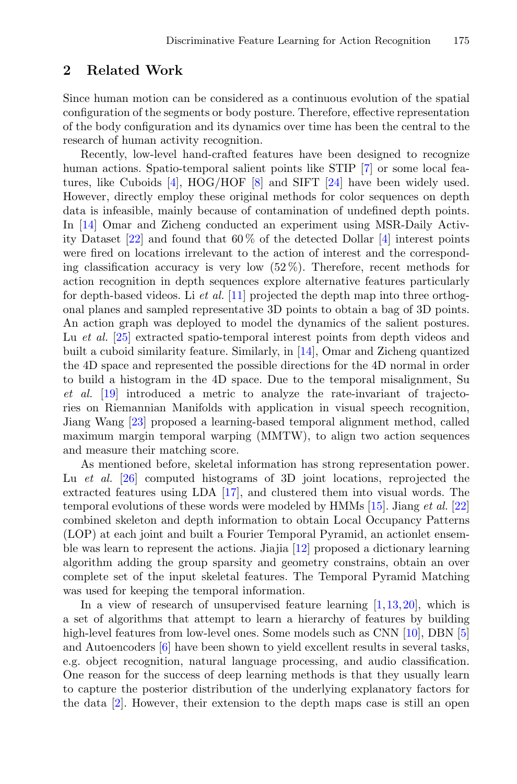### <span id="page-2-0"></span>**2 Related Work**

Since human motion can be considered as a continuous evolution of the spatial configuration of the segments or body posture. Therefore, effective representation of the body configuration and its dynamics over time has been the central to the research of human activity recognition.

Recently, low-level hand-crafted features have been designed to recognize human actions. Spatio-temporal salient points like STIP [\[7](#page-10-4)] or some local features, like Cuboids [\[4\]](#page-10-3), HOG/HOF [\[8](#page-10-5)] and SIFT [\[24](#page-11-2)] have been widely used. However, directly employ these original methods for color sequences on depth data is infeasible, mainly because of contamination of undefined depth points. In [\[14\]](#page-10-2) Omar and Zicheng conducted an experiment using MSR-Daily Activity Dataset  $[22]$  $[22]$  and found that 60% of the detected Dollar  $[4]$  interest points were fired on locations irrelevant to the action of interest and the corresponding classification accuracy is very low  $(52\%)$ . Therefore, recent methods for action recognition in depth sequences explore alternative features particularly for depth-based videos. Li *et al.* [\[11\]](#page-10-6) projected the depth map into three orthogonal planes and sampled representative 3D points to obtain a bag of 3D points. An action graph was deployed to model the dynamics of the salient postures. Lu *et al.* [\[25\]](#page-11-3) extracted spatio-temporal interest points from depth videos and built a cuboid similarity feature. Similarly, in [\[14](#page-10-2)], Omar and Zicheng quantized the 4D space and represented the possible directions for the 4D normal in order to build a histogram in the 4D space. Due to the temporal misalignment, Su *et al.* [\[19](#page-11-4)] introduced a metric to analyze the rate-invariant of trajectories on Riemannian Manifolds with application in visual speech recognition, Jiang Wang [\[23\]](#page-11-5) proposed a learning-based temporal alignment method, called maximum margin temporal warping (MMTW), to align two action sequences and measure their matching score.

As mentioned before, skeletal information has strong representation power. Lu *et al.* [\[26\]](#page-11-6) computed histograms of 3D joint locations, reprojected the extracted features using LDA [\[17](#page-10-7)], and clustered them into visual words. The temporal evolutions of these words were modeled by HMMs [\[15](#page-10-8)]. Jiang *et al.* [\[22\]](#page-11-0) combined skeleton and depth information to obtain Local Occupancy Patterns (LOP) at each joint and built a Fourier Temporal Pyramid, an actionlet ensemble was learn to represent the actions. Jiajia [\[12](#page-10-1)] proposed a dictionary learning algorithm adding the group sparsity and geometry constrains, obtain an over complete set of the input skeletal features. The Temporal Pyramid Matching was used for keeping the temporal information.

In a view of research of unsupervised feature learning  $[1,13,20]$  $[1,13,20]$  $[1,13,20]$  $[1,13,20]$ , which is a set of algorithms that attempt to learn a hierarchy of features by building high-level features from low-level ones. Some models such as CNN [\[10](#page-10-11)], DBN [\[5\]](#page-10-12) and Autoencoders [\[6\]](#page-10-13) have been shown to yield excellent results in several tasks, e.g. object recognition, natural language processing, and audio classification. One reason for the success of deep learning methods is that they usually learn to capture the posterior distribution of the underlying explanatory factors for the data [\[2\]](#page-10-14). However, their extension to the depth maps case is still an open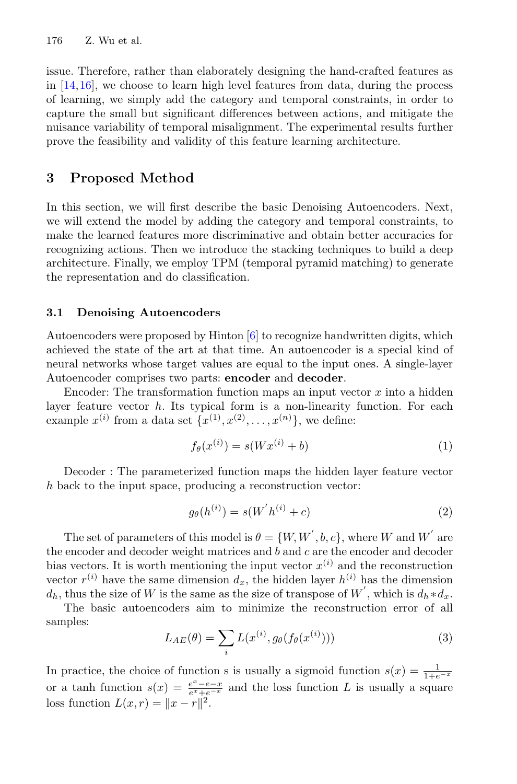issue. Therefore, rather than elaborately designing the hand-crafted features as in  $[14,16]$  $[14,16]$  $[14,16]$ , we choose to learn high level features from data, during the process of learning, we simply add the category and temporal constraints, in order to capture the small but significant differences between actions, and mitigate the nuisance variability of temporal misalignment. The experimental results further prove the feasibility and validity of this feature learning architecture.

## <span id="page-3-0"></span>**3 Proposed Method**

In this section, we will first describe the basic Denoising Autoencoders. Next, we will extend the model by adding the category and temporal constraints, to make the learned features more discriminative and obtain better accuracies for recognizing actions. Then we introduce the stacking techniques to build a deep architecture. Finally, we employ TPM (temporal pyramid matching) to generate the representation and do classification.

### **3.1 Denoising Autoencoders**

Autoencoders were proposed by Hinton  $[6]$  $[6]$  to recognize handwritten digits, which achieved the state of the art at that time. An autoencoder is a special kind of neural networks whose target values are equal to the input ones. A single-layer Autoencoder comprises two parts: **encoder** and **decoder**.

Encoder: The transformation function maps an input vector  $x$  into a hidden layer feature vector  $h$ . Its typical form is a non-linearity function. For each example  $x^{(i)}$  from a data set  $\{x^{(1)}, x^{(2)}, \ldots, x^{(n)}\}$ , we define:

$$
f_{\theta}(x^{(i)}) = s(Wx^{(i)} + b)
$$
 (1)

Decoder : The parameterized function maps the hidden layer feature vector h back to the input space, producing a reconstruction vector:

$$
g_{\theta}(h^{(i)}) = s(W^{'}h^{(i)} + c)
$$
\n(2)

The set of parameters of this model is  $\theta = \{W, W', b, c\}$ , where W and W' are the encoder and decoder weight matrices and  $b$  and  $c$  are the encoder and decoder bias vectors. It is worth mentioning the input vector  $x^{(i)}$  and the reconstruction vector  $r^{(i)}$  have the same dimension  $d_x$ , the hidden layer  $h^{(i)}$  has the dimension  $d_h$ , thus the size of W is the same as the size of transpose of W', which is  $d_h * d_x$ .

The basic autoencoders aim to minimize the reconstruction error of all samples:

$$
L_{AE}(\theta) = \sum_{i} L(x^{(i)}, g_{\theta}(f_{\theta}(x^{(i)})))
$$
\n(3)

In practice, the choice of function s is usually a sigmoid function  $s(x) = \frac{1}{1+e^{-x}}$ or a tanh function  $s(x) = \frac{e^x - e^{-x}}{e^x + e^{-x}}$  and the loss function L is usually a square loss function  $L(x, r) = ||x - r||^2$ .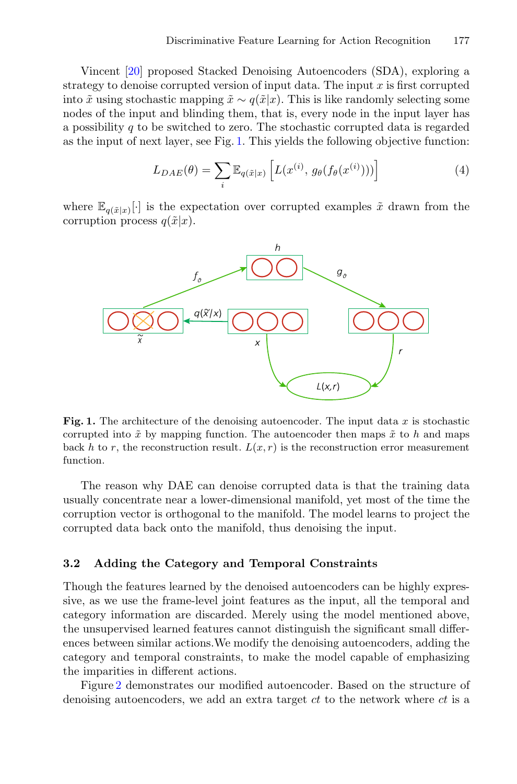Vincent [\[20\]](#page-11-7) proposed Stacked Denoising Autoencoders (SDA), exploring a strategy to denoise corrupted version of input data. The input  $x$  is first corrupted into  $\tilde{x}$  using stochastic mapping  $\tilde{x} \sim q(\tilde{x}|x)$ . This is like randomly selecting some nodes of the input and blinding them, that is, every node in the input layer has a possibility  $q$  to be switched to zero. The stochastic corrupted data is regarded as the input of next layer, see Fig. [1.](#page-4-0) This yields the following objective function:

$$
L_{DAE}(\theta) = \sum_{i} \mathbb{E}_{q(\tilde{x}|x)} \left[ L(x^{(i)}, g_{\theta}(f_{\theta}(x^{(i)}))) \right]
$$
(4)

where  $\mathbb{E}_{q(\tilde{x}|x)}[\cdot]$  is the expectation over corrupted examples  $\tilde{x}$  drawn from the corruption process  $q(\tilde{x}|x)$ .



<span id="page-4-0"></span>**Fig. 1.** The architecture of the denoising autoencoder. The input data *x* is stochastic corrupted into  $\tilde{x}$  by mapping function. The autoencoder then maps  $\tilde{x}$  to *h* and maps back *h* to *r*, the reconstruction result.  $L(x, r)$  is the reconstruction error measurement function.

The reason why DAE can denoise corrupted data is that the training data usually concentrate near a lower-dimensional manifold, yet most of the time the corruption vector is orthogonal to the manifold. The model learns to project the corrupted data back onto the manifold, thus denoising the input.

#### **3.2 Adding the Category and Temporal Constraints**

Though the features learned by the denoised autoencoders can be highly expressive, as we use the frame-level joint features as the input, all the temporal and category information are discarded. Merely using the model mentioned above, the unsupervised learned features cannot distinguish the significant small differences between similar actions.We modify the denoising autoencoders, adding the category and temporal constraints, to make the model capable of emphasizing the imparities in different actions.

Figure [2](#page-5-0) demonstrates our modified autoencoder. Based on the structure of denoising autoencoders, we add an extra target ct to the network where ct is a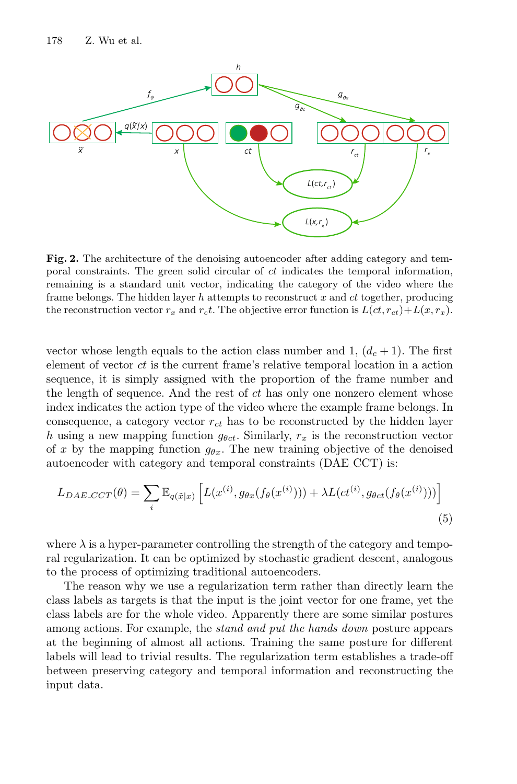

<span id="page-5-0"></span>Fig. 2. The architecture of the denoising autoencoder after adding category and temporal constraints. The green solid circular of *ct* indicates the temporal information, remaining is a standard unit vector, indicating the category of the video where the frame belongs. The hidden layer *h* attempts to reconstruct *x* and *ct* together, producing the reconstruction vector  $r_x$  and  $r_c t$ . The objective error function is  $L(ct, r_{ct}) + L(x, r_x)$ .

vector whose length equals to the action class number and 1,  $(d_c + 1)$ . The first element of vector  $ct$  is the current frame's relative temporal location in a action sequence, it is simply assigned with the proportion of the frame number and the length of sequence. And the rest of ct has only one nonzero element whose index indicates the action type of the video where the example frame belongs. In consequence, a category vector  $r_{ct}$  has to be reconstructed by the hidden layer h using a new mapping function  $g_{\theta ct}$ . Similarly,  $r_x$  is the reconstruction vector of x by the mapping function  $g_{\theta x}$ . The new training objective of the denoised autoencoder with category and temporal constraints (DAE CCT) is:

$$
L_{DAE\_CCT}(\theta) = \sum_{i} \mathbb{E}_{q(\tilde{x}|x)} \left[ L(x^{(i)}, g_{\theta x}(f_{\theta}(x^{(i)}))) + \lambda L(ct^{(i)}, g_{\theta ct}(f_{\theta}(x^{(i)}))) \right]
$$
\n(5)

where  $\lambda$  is a hyper-parameter controlling the strength of the category and temporal regularization. It can be optimized by stochastic gradient descent, analogous to the process of optimizing traditional autoencoders.

The reason why we use a regularization term rather than directly learn the class labels as targets is that the input is the joint vector for one frame, yet the class labels are for the whole video. Apparently there are some similar postures among actions. For example, the *stand and put the hands down* posture appears at the beginning of almost all actions. Training the same posture for different labels will lead to trivial results. The regularization term establishes a trade-off between preserving category and temporal information and reconstructing the input data.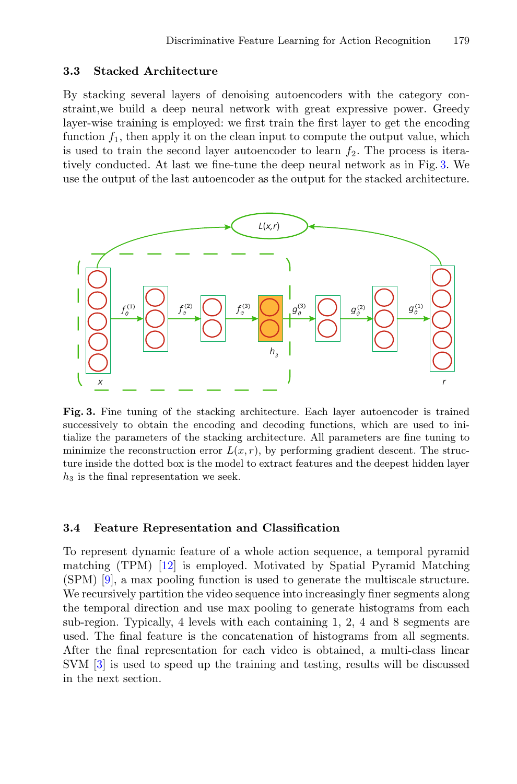### **3.3 Stacked Architecture**

By stacking several layers of denoising autoencoders with the category constraint,we build a deep neural network with great expressive power. Greedy layer-wise training is employed: we first train the first layer to get the encoding function  $f_1$ , then apply it on the clean input to compute the output value, which is used to train the second layer autoencoder to learn  $f_2$ . The process is iteratively conducted. At last we fine-tune the deep neural network as in Fig. [3.](#page-6-0) We use the output of the last autoencoder as the output for the stacked architecture.



<span id="page-6-0"></span>**Fig. 3.** Fine tuning of the stacking architecture. Each layer autoencoder is trained successively to obtain the encoding and decoding functions, which are used to initialize the parameters of the stacking architecture. All parameters are fine tuning to minimize the reconstruction error  $L(x, r)$ , by performing gradient descent. The structure inside the dotted box is the model to extract features and the deepest hidden layer *h*<sup>3</sup> is the final representation we seek.

#### **3.4 Feature Representation and Classification**

To represent dynamic feature of a whole action sequence, a temporal pyramid matching (TPM) [\[12](#page-10-1)] is employed. Motivated by Spatial Pyramid Matching (SPM) [\[9\]](#page-10-16), a max pooling function is used to generate the multiscale structure. We recursively partition the video sequence into increasingly finer segments along the temporal direction and use max pooling to generate histograms from each sub-region. Typically, 4 levels with each containing 1, 2, 4 and 8 segments are used. The final feature is the concatenation of histograms from all segments. After the final representation for each video is obtained, a multi-class linear SVM [\[3](#page-10-17)] is used to speed up the training and testing, results will be discussed in the next section.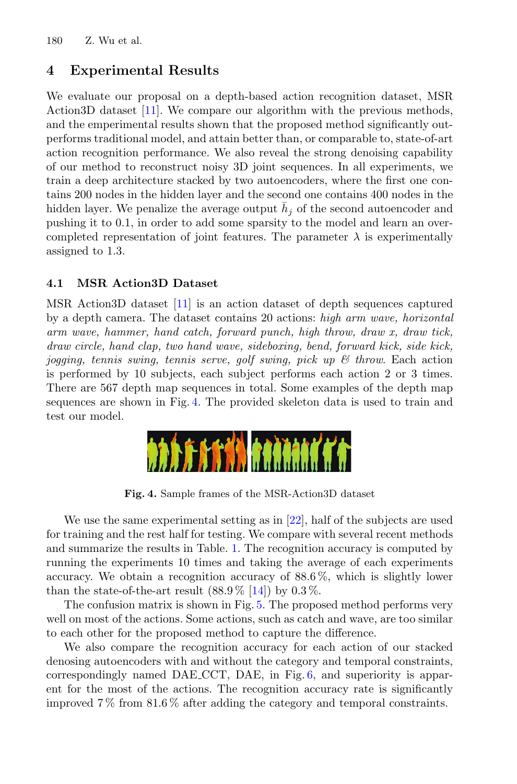# <span id="page-7-0"></span>**4 Experimental Results**

We evaluate our proposal on a depth-based action recognition dataset, MSR Action3D dataset [\[11](#page-10-6)]. We compare our algorithm with the previous methods, and the emperimental results shown that the proposed method significantly outperforms traditional model, and attain better than, or comparable to, state-of-art action recognition performance. We also reveal the strong denoising capability of our method to reconstruct noisy 3D joint sequences. In all experiments, we train a deep architecture stacked by two autoencoders, where the first one contains 200 nodes in the hidden layer and the second one contains 400 nodes in the hidden layer. We penalize the average output  $\bar{h}_i$  of the second autoencoder and pushing it to 0.1, in order to add some sparsity to the model and learn an overcompleted representation of joint features. The parameter  $\lambda$  is experimentally assigned to 1.3.

### **4.1 MSR Action3D Dataset**

MSR Action3D dataset [\[11](#page-10-6)] is an action dataset of depth sequences captured by a depth camera. The dataset contains 20 actions: *high arm wave, horizontal arm wave, hammer, hand catch, forward punch, high throw, draw x, draw tick, draw circle, hand clap, two hand wave, sideboxing, bend, forward kick, side kick, jogging, tennis swing, tennis serve, golf swing, pick up & throw*. Each action is performed by 10 subjects, each subject performs each action 2 or 3 times. There are 567 depth map sequences in total. Some examples of the depth map sequences are shown in Fig. [4.](#page-7-1) The provided skeleton data is used to train and test our model.



**Fig. 4.** Sample frames of the MSR-Action3D dataset

<span id="page-7-1"></span>We use the same experimental setting as in [\[22](#page-11-0)], half of the subjects are used for training and the rest half for testing. We compare with several recent methods and summarize the results in Table. [1.](#page-8-0) The recognition accuracy is computed by running the experiments 10 times and taking the average of each experiments accuracy. We obtain a recognition accuracy of 88.6 %, which is slightly lower than the state-of-the-art result  $(88.9\% \; [14])$  $(88.9\% \; [14])$  $(88.9\% \; [14])$  by  $0.3\%$ .

The confusion matrix is shown in Fig. [5.](#page-8-1) The proposed method performs very well on most of the actions. Some actions, such as catch and wave, are too similar to each other for the proposed method to capture the difference.

We also compare the recognition accuracy for each action of our stacked denosing autoencoders with and without the category and temporal constraints, correspondingly named DAE CCT, DAE, in Fig. [6,](#page-8-2) and superiority is apparent for the most of the actions. The recognition accuracy rate is significantly improved  $7\%$  from  $81.6\%$  after adding the category and temporal constraints.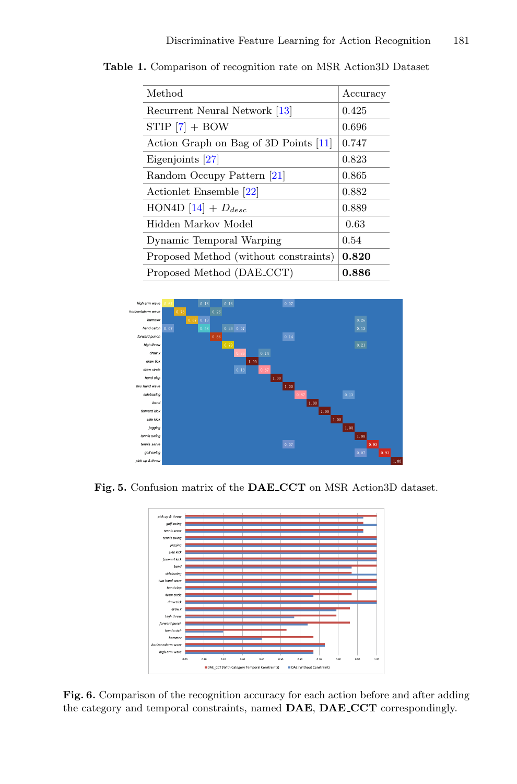| Method                                | Accuracy |
|---------------------------------------|----------|
| Recurrent Neural Network [13]         | 0.425    |
| $STIP [7] + BOW$                      | 0.696    |
| Action Graph on Bag of 3D Points [11] | 0.747    |
| Eigenjoints [27]                      | 0.823    |
| Random Occupy Pattern [21]            | 0.865    |
| Actionlet Ensemble [22]               | 0.882    |
| HON4D $[14]$ + $D_{desc}$             | 0.889    |
| Hidden Markov Model                   | 0.63     |
| Dynamic Temporal Warping              | 0.54     |
| Proposed Method (without constraints) | 0.820    |
| Proposed Method (DAE_CCT)             | 0.886    |

<span id="page-8-0"></span>**Table 1.** Comparison of recognition rate on MSR Action3D Dataset



<span id="page-8-1"></span>**Fig. 5.** Confusion matrix of the **DAE CCT** on MSR Action3D dataset.



<span id="page-8-2"></span>**Fig. 6.** Comparison of the recognition accuracy for each action before and after adding the category and temporal constraints, named **DAE**, **DAE CCT** correspondingly.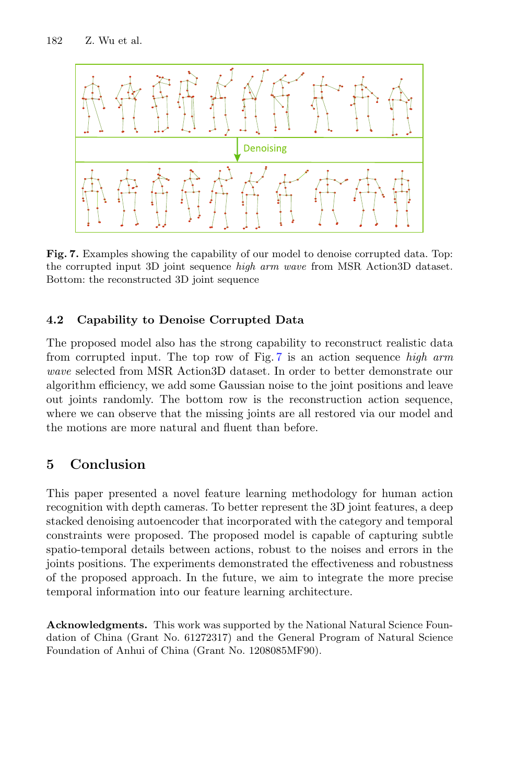

<span id="page-9-1"></span>Fig. 7. Examples showing the capability of our model to denoise corrupted data. Top: the corrupted input 3D joint sequence *high arm wave* from MSR Action3D dataset. Bottom: the reconstructed 3D joint sequence

### **4.2 Capability to Denoise Corrupted Data**

The proposed model also has the strong capability to reconstruct realistic data from corrupted input. The top row of Fig. [7](#page-9-1) is an action sequence *high arm wave* selected from MSR Action3D dataset. In order to better demonstrate our algorithm efficiency, we add some Gaussian noise to the joint positions and leave out joints randomly. The bottom row is the reconstruction action sequence, where we can observe that the missing joints are all restored via our model and the motions are more natural and fluent than before.

# <span id="page-9-0"></span>**5 Conclusion**

This paper presented a novel feature learning methodology for human action recognition with depth cameras. To better represent the 3D joint features, a deep stacked denoising autoencoder that incorporated with the category and temporal constraints were proposed. The proposed model is capable of capturing subtle spatio-temporal details between actions, robust to the noises and errors in the joints positions. The experiments demonstrated the effectiveness and robustness of the proposed approach. In the future, we aim to integrate the more precise temporal information into our feature learning architecture.

**Acknowledgments.** This work was supported by the National Natural Science Foundation of China (Grant No. 61272317) and the General Program of Natural Science Foundation of Anhui of China (Grant No. 1208085MF90).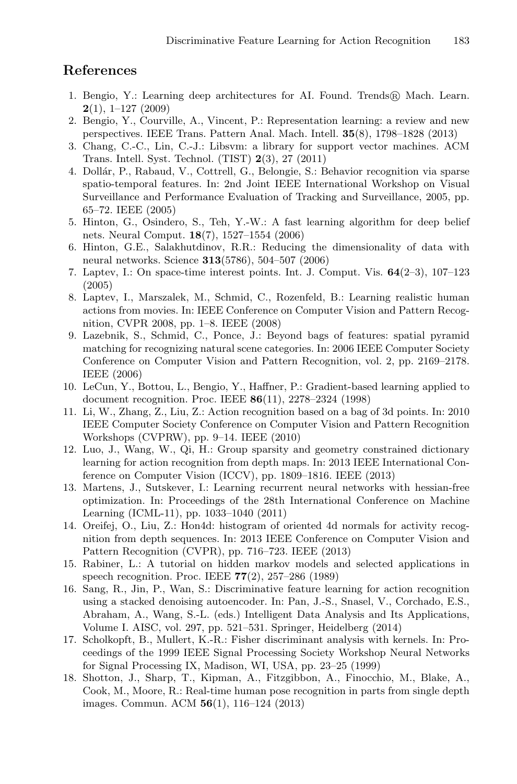# <span id="page-10-9"></span>**References**

- 1. Bengio, Y.: Learning deep architectures for AI. Found. Trends® Mach. Learn. **2**(1), 1–127 (2009)
- <span id="page-10-14"></span>2. Bengio, Y., Courville, A., Vincent, P.: Representation learning: a review and new perspectives. IEEE Trans. Pattern Anal. Mach. Intell. **35**(8), 1798–1828 (2013)
- <span id="page-10-17"></span>3. Chang, C.-C., Lin, C.-J.: Libsvm: a library for support vector machines. ACM Trans. Intell. Syst. Technol. (TIST) **2**(3), 27 (2011)
- <span id="page-10-3"></span>4. Dollár, P., Rabaud, V., Cottrell, G., Belongie, S.: Behavior recognition via sparse spatio-temporal features. In: 2nd Joint IEEE International Workshop on Visual Surveillance and Performance Evaluation of Tracking and Surveillance, 2005, pp. 65–72. IEEE (2005)
- <span id="page-10-12"></span>5. Hinton, G., Osindero, S., Teh, Y.-W.: A fast learning algorithm for deep belief nets. Neural Comput. **18**(7), 1527–1554 (2006)
- <span id="page-10-13"></span>6. Hinton, G.E., Salakhutdinov, R.R.: Reducing the dimensionality of data with neural networks. Science **313**(5786), 504–507 (2006)
- <span id="page-10-4"></span>7. Laptev, I.: On space-time interest points. Int. J. Comput. Vis. **64**(2–3), 107–123 (2005)
- <span id="page-10-5"></span>8. Laptev, I., Marszalek, M., Schmid, C., Rozenfeld, B.: Learning realistic human actions from movies. In: IEEE Conference on Computer Vision and Pattern Recognition, CVPR 2008, pp. 1–8. IEEE (2008)
- <span id="page-10-16"></span>9. Lazebnik, S., Schmid, C., Ponce, J.: Beyond bags of features: spatial pyramid matching for recognizing natural scene categories. In: 2006 IEEE Computer Society Conference on Computer Vision and Pattern Recognition, vol. 2, pp. 2169–2178. IEEE (2006)
- <span id="page-10-11"></span>10. LeCun, Y., Bottou, L., Bengio, Y., Haffner, P.: Gradient-based learning applied to document recognition. Proc. IEEE **86**(11), 2278–2324 (1998)
- <span id="page-10-6"></span>11. Li, W., Zhang, Z., Liu, Z.: Action recognition based on a bag of 3d points. In: 2010 IEEE Computer Society Conference on Computer Vision and Pattern Recognition Workshops (CVPRW), pp. 9–14. IEEE (2010)
- <span id="page-10-1"></span>12. Luo, J., Wang, W., Qi, H.: Group sparsity and geometry constrained dictionary learning for action recognition from depth maps. In: 2013 IEEE International Conference on Computer Vision (ICCV), pp. 1809–1816. IEEE (2013)
- <span id="page-10-10"></span>13. Martens, J., Sutskever, I.: Learning recurrent neural networks with hessian-free optimization. In: Proceedings of the 28th International Conference on Machine Learning (ICML-11), pp. 1033–1040 (2011)
- <span id="page-10-2"></span>14. Oreifej, O., Liu, Z.: Hon4d: histogram of oriented 4d normals for activity recognition from depth sequences. In: 2013 IEEE Conference on Computer Vision and Pattern Recognition (CVPR), pp. 716–723. IEEE (2013)
- <span id="page-10-8"></span>15. Rabiner, L.: A tutorial on hidden markov models and selected applications in speech recognition. Proc. IEEE **77**(2), 257–286 (1989)
- <span id="page-10-15"></span>16. Sang, R., Jin, P., Wan, S.: Discriminative feature learning for action recognition using a stacked denoising autoencoder. In: Pan, J.-S., Snasel, V., Corchado, E.S., Abraham, A., Wang, S.-L. (eds.) Intelligent Data Analysis and Its Applications, Volume I. AISC, vol. 297, pp. 521–531. Springer, Heidelberg (2014)
- <span id="page-10-7"></span>17. Scholkopft, B., Mullert, K.-R.: Fisher discriminant analysis with kernels. In: Proceedings of the 1999 IEEE Signal Processing Society Workshop Neural Networks for Signal Processing IX, Madison, WI, USA, pp. 23–25 (1999)
- <span id="page-10-0"></span>18. Shotton, J., Sharp, T., Kipman, A., Fitzgibbon, A., Finocchio, M., Blake, A., Cook, M., Moore, R.: Real-time human pose recognition in parts from single depth images. Commun. ACM **56**(1), 116–124 (2013)